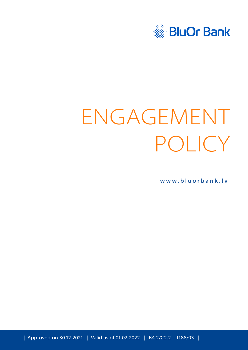

# ENGAGEMENT POLICY

**[www.bluorbank.lv](https://www.bluorbank.lv/en/index)**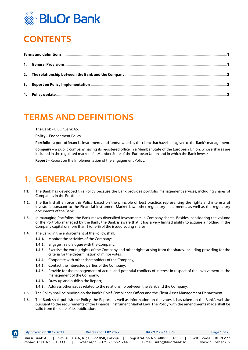

# <span id="page-1-0"></span>**CONTENTS**

#### **TERMS AND DEFINITIONS**

**The Bank** – BluOr Bank AS.

**Policy** – Engagement Policy.

**Portfolio** – a pool of financial instruments and funds owned by the client that have been given to the Bank's management.

**Company** – a public company having its registered office in a Member State of the European Union, whose shares are included in the regulated market of a Member State of the European Union and in which the Bank invests.

**Report** – Report on the Implementation of the Engagement Policy.

# **1. GENERAL PROVISIONS**

- **1.1.** The Bank has developed this Policy because the Bank provides portfolio management services, including shares of Companies in the Portfolio.
- **1.2.** The Bank shall enforce this Policy based on the principle of best practice, representing the rights and interests of investors, pursuant to the Financial Instrument Market Law, other regulatory enactments, as well as the regulatory documents of the Bank.
- **1.3.** In managing Portfolios, the Bank makes diversified investments in Company shares. Besides, considering the volume of the Portfolio managed by the Bank, the Bank is aware that it has a very limited ability to acquire a holding in the Company capital of more than 1 (one)% of the issued voting shares.
- **1.4.** The Bank, in the enforcement of the Policy, shall:
	- **1.4.1.** Monitor the activities of the Company;
	- **1.4.2.** Engage in a dialogue with the Company;
	- **1.4.3.** Exercise the voting rights of the Company and other rights arising from the shares, including providing for the criteria for the determination of minor votes;
	- **1.4.4.** Cooperate with other shareholders of the Company;
	- **1.4.5.** Contact the interested parties of the Company;
	- **1.4.6.** Provide for the management of actual and potential conflicts of interest in respect of the involvement in the management of the Company;
	- **1.4.7.** Draw up and publish the Report:

**[HOME](#page-1-0)**

- **1.4.8.** Address other issues related to the relationship between the Bank and the Company.
- **1.5.** The Policy shall be binding on the Bank's Chief Compliance Officer and the Client Asset Management Department.
- **1.6.** The Bank shall publish the Policy, the Report, as well as information on the votes it has taken on the Bank's website pursuant to the requirements of the Financial Instrument Market Law. The Policy with the amendments made shall be valid from the date of its publication.